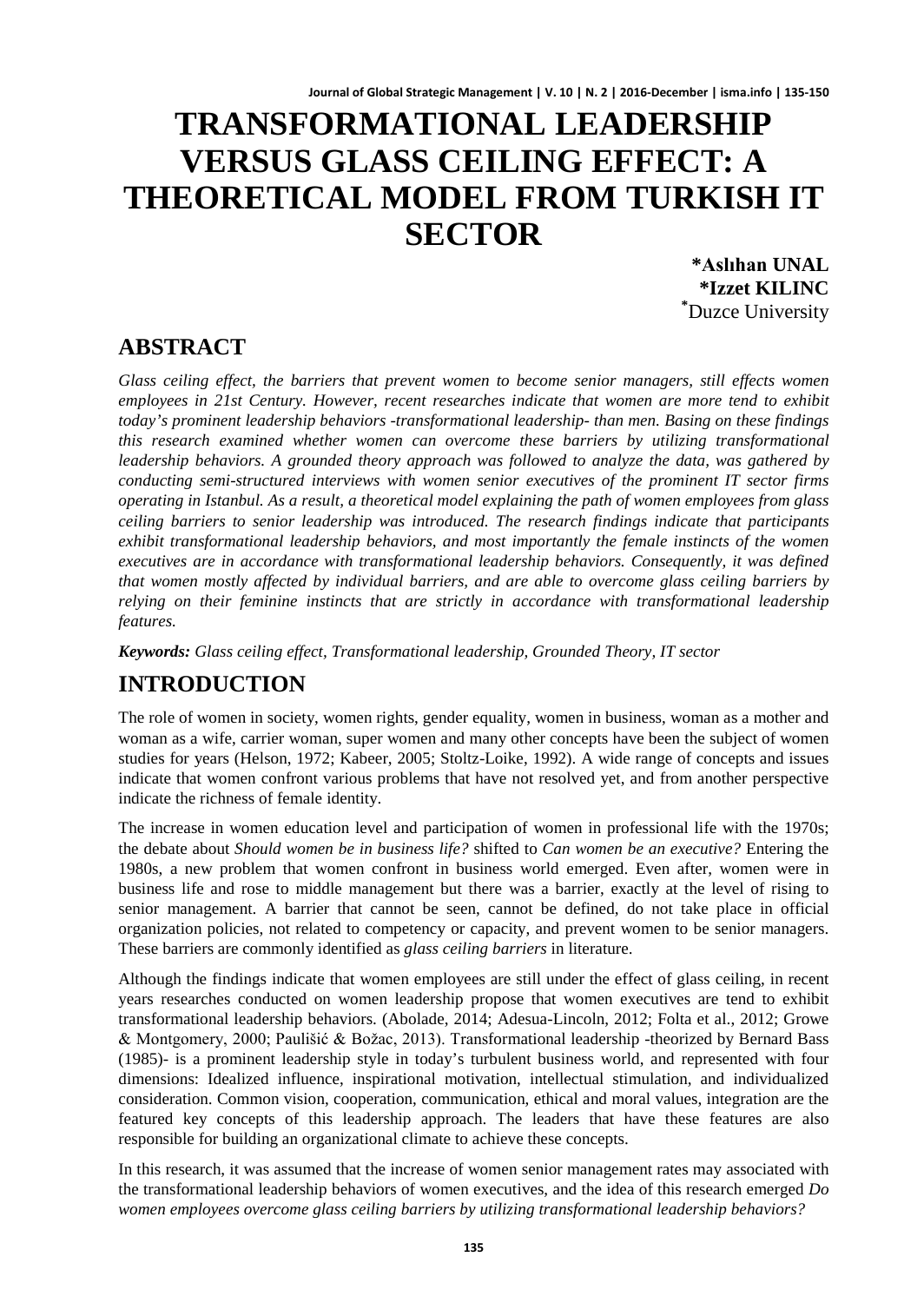# **TRANSFORMATIONAL LEADERSHIP VERSUS GLASS CEILING EFFECT: A THEORETICAL MODEL FROM TURKISH IT SECTOR**

**\*Aslıhan UNAL \*Izzet KILINC \*** Duzce University

### **ABSTRACT**

*Glass ceiling effect, the barriers that prevent women to become senior managers, still effects women employees in 21st Century. However, recent researches indicate that women are more tend to exhibit today's prominent leadership behaviors -transformational leadership- than men. Basing on these findings this research examined whether women can overcome these barriers by utilizing transformational leadership behaviors. A grounded theory approach was followed to analyze the data, was gathered by conducting semi-structured interviews with women senior executives of the prominent IT sector firms operating in Istanbul. As a result, a theoretical model explaining the path of women employees from glass ceiling barriers to senior leadership was introduced. The research findings indicate that participants exhibit transformational leadership behaviors, and most importantly the female instincts of the women executives are in accordance with transformational leadership behaviors. Consequently, it was defined that women mostly affected by individual barriers, and are able to overcome glass ceiling barriers by relying on their feminine instincts that are strictly in accordance with transformational leadership features.* 

*Keywords: Glass ceiling effect, Transformational leadership, Grounded Theory, IT sector*

## **INTRODUCTION**

The role of women in society, women rights, gender equality, women in business, woman as a mother and woman as a wife, carrier woman, super women and many other concepts have been the subject of women studies for years (Helson, 1972; Kabeer, 2005; Stoltz-Loike, 1992). A wide range of concepts and issues indicate that women confront various problems that have not resolved yet, and from another perspective indicate the richness of female identity.

The increase in women education level and participation of women in professional life with the 1970s; the debate about *Should women be in business life?* shifted to *Can women be an executive?* Entering the 1980s, a new problem that women confront in business world emerged. Even after, women were in business life and rose to middle management but there was a barrier, exactly at the level of rising to senior management. A barrier that cannot be seen, cannot be defined, do not take place in official organization policies, not related to competency or capacity, and prevent women to be senior managers. These barriers are commonly identified as *glass ceiling barriers* in literature.

Although the findings indicate that women employees are still under the effect of glass ceiling, in recent years researches conducted on women leadership propose that women executives are tend to exhibit transformational leadership behaviors. (Abolade, 2014; Adesua-Lincoln, 2012; Folta et al., 2012; Growe & Montgomery, 2000; Paulišić & Božac, 2013). Transformational leadership -theorized by Bernard Bass (1985)- is a prominent leadership style in today's turbulent business world, and represented with four dimensions: Idealized influence, inspirational motivation, intellectual stimulation, and individualized consideration. Common vision, cooperation, communication, ethical and moral values, integration are the featured key concepts of this leadership approach. The leaders that have these features are also responsible for building an organizational climate to achieve these concepts.

In this research, it was assumed that the increase of women senior management rates may associated with the transformational leadership behaviors of women executives, and the idea of this research emerged *Do women employees overcome glass ceiling barriers by utilizing transformational leadership behaviors?*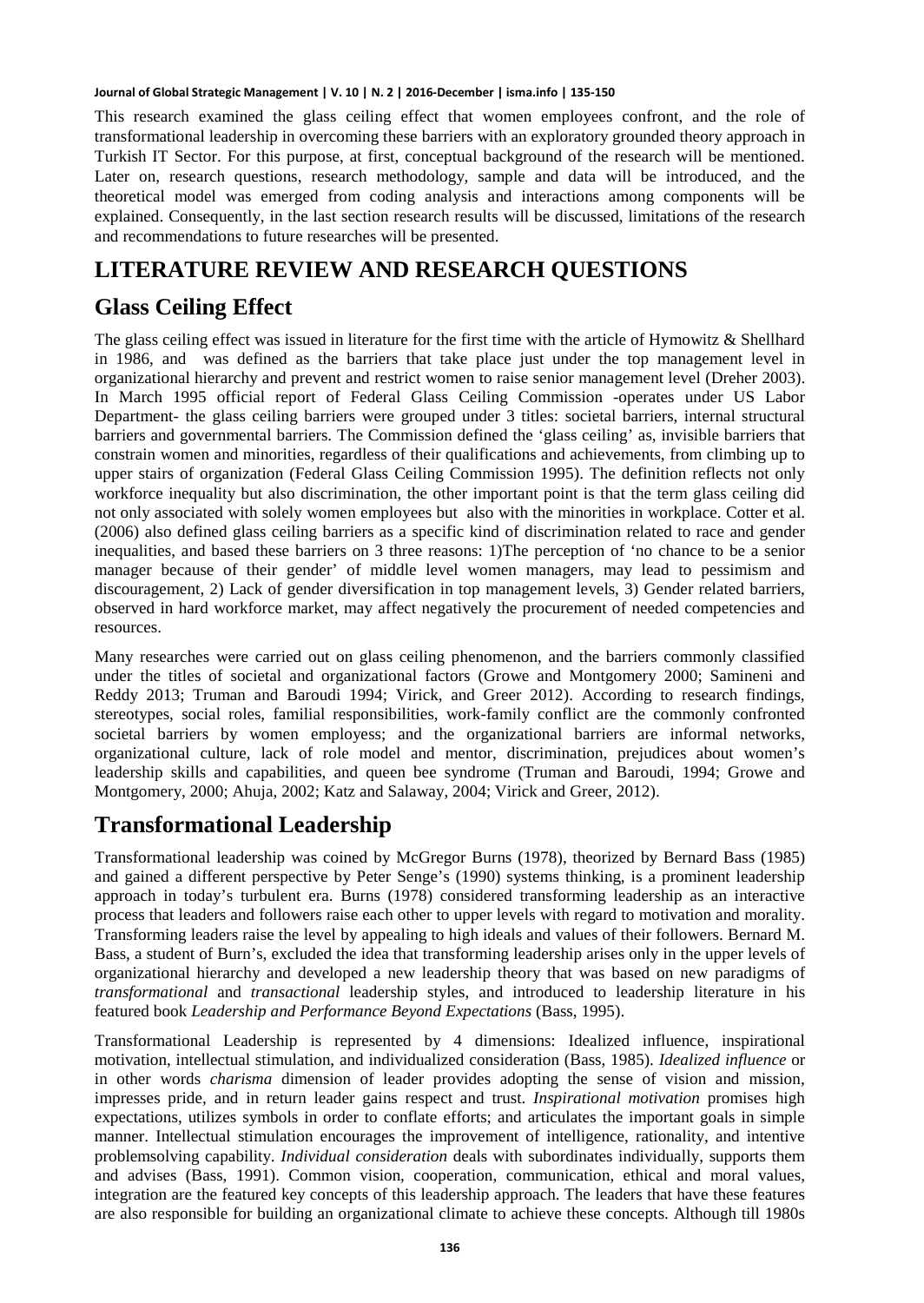This research examined the glass ceiling effect that women employees confront, and the role of transformational leadership in overcoming these barriers with an exploratory grounded theory approach in Turkish IT Sector. For this purpose, at first, conceptual background of the research will be mentioned. Later on, research questions, research methodology, sample and data will be introduced, and the theoretical model was emerged from coding analysis and interactions among components will be explained. Consequently, in the last section research results will be discussed, limitations of the research and recommendations to future researches will be presented.

### **LITERATURE REVIEW AND RESEARCH QUESTIONS**

### **Glass Ceiling Effect**

The glass ceiling effect was issued in literature for the first time with the article of Hymowitz & Shellhard in 1986, and was defined as the barriers that take place just under the top management level in organizational hierarchy and prevent and restrict women to raise senior management level (Dreher 2003). In March 1995 official report of Federal Glass Ceiling Commission -operates under US Labor Department- the glass ceiling barriers were grouped under 3 titles: societal barriers, internal structural barriers and governmental barriers. The Commission defined the 'glass ceiling' as, invisible barriers that constrain women and minorities, regardless of their qualifications and achievements, from climbing up to upper stairs of organization (Federal Glass Ceiling Commission 1995). The definition reflects not only workforce inequality but also discrimination, the other important point is that the term glass ceiling did not only associated with solely women employees but also with the minorities in workplace. Cotter et al. (2006) also defined glass ceiling barriers as a specific kind of discrimination related to race and gender inequalities, and based these barriers on 3 three reasons: 1)The perception of 'no chance to be a senior manager because of their gender' of middle level women managers, may lead to pessimism and discouragement, 2) Lack of gender diversification in top management levels, 3) Gender related barriers, observed in hard workforce market, may affect negatively the procurement of needed competencies and resources.

Many researches were carried out on glass ceiling phenomenon, and the barriers commonly classified under the titles of societal and organizational factors (Growe and Montgomery 2000; Samineni and Reddy 2013; Truman and Baroudi 1994; Virick, and Greer 2012). According to research findings, stereotypes, social roles, familial responsibilities, work-family conflict are the commonly confronted societal barriers by women employess; and the organizational barriers are informal networks, organizational culture, lack of role model and mentor, discrimination, prejudices about women's leadership skills and capabilities, and queen bee syndrome (Truman and Baroudi, 1994; Growe and Montgomery, 2000; Ahuja, 2002; Katz and Salaway, 2004; Virick and Greer, 2012).

### **Transformational Leadership**

Transformational leadership was coined by McGregor Burns (1978), theorized by Bernard Bass (1985) and gained a different perspective by Peter Senge's (1990) systems thinking, is a prominent leadership approach in today's turbulent era. Burns (1978) considered transforming leadership as an interactive process that leaders and followers raise each other to upper levels with regard to motivation and morality. Transforming leaders raise the level by appealing to high ideals and values of their followers. Bernard M. Bass, a student of Burn's, excluded the idea that transforming leadership arises only in the upper levels of organizational hierarchy and developed a new leadership theory that was based on new paradigms of *transformational* and *transactional* leadership styles, and introduced to leadership literature in his featured book *Leadership and Performance Beyond Expectations* (Bass, 1995).

Transformational Leadership is represented by 4 dimensions: Idealized influence, inspirational motivation, intellectual stimulation, and individualized consideration (Bass, 1985). *Idealized influence* or in other words *charisma* dimension of leader provides adopting the sense of vision and mission, impresses pride, and in return leader gains respect and trust. *Inspirational motivation* promises high expectations, utilizes symbols in order to conflate efforts; and articulates the important goals in simple manner. Intellectual stimulation encourages the improvement of intelligence, rationality, and intentive problemsolving capability. *Individual consideration* deals with subordinates individually, supports them and advises (Bass, 1991). Common vision, cooperation, communication, ethical and moral values, integration are the featured key concepts of this leadership approach. The leaders that have these features are also responsible for building an organizational climate to achieve these concepts. Although till 1980s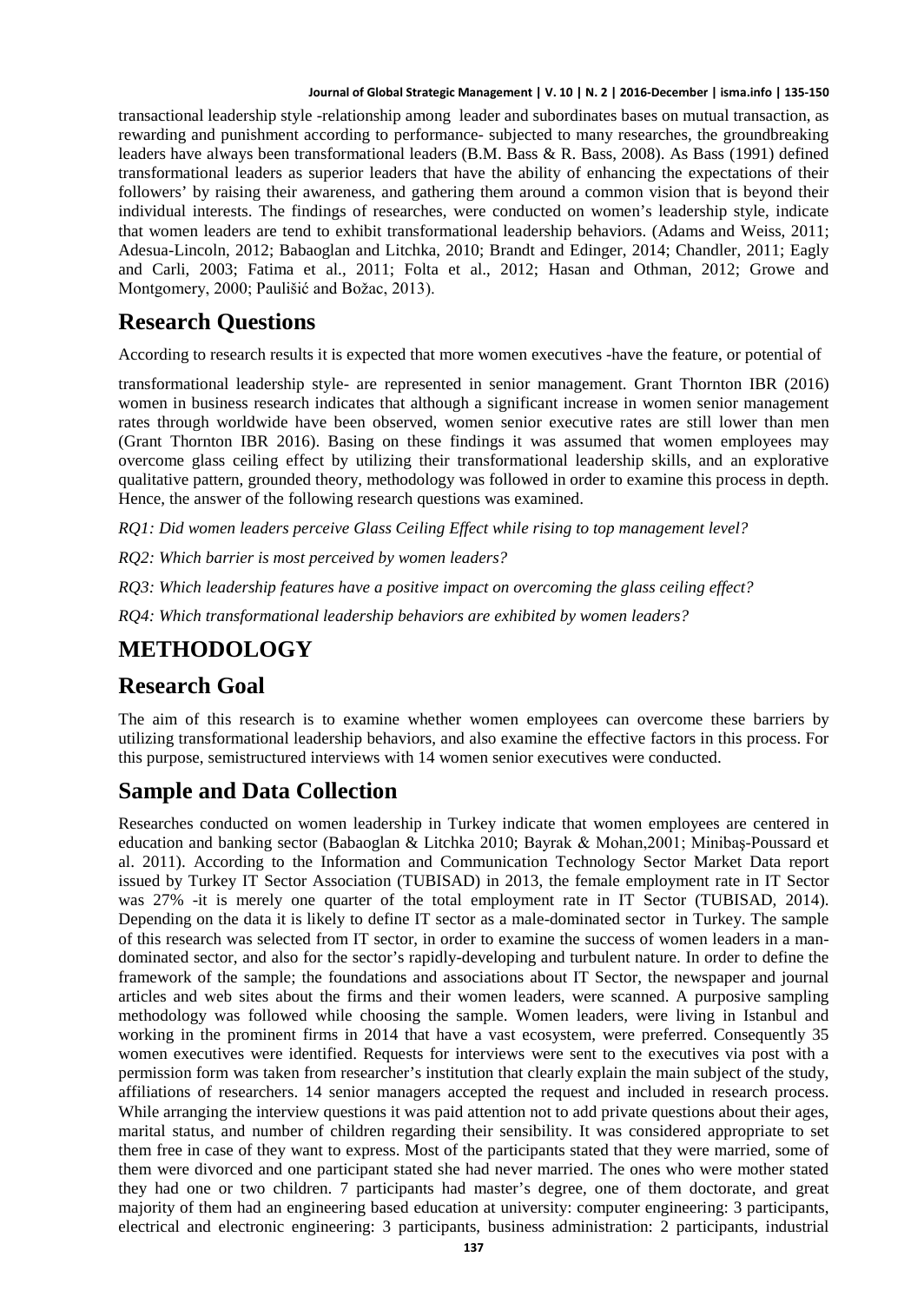transactional leadership style -relationship among leader and subordinates bases on mutual transaction, as rewarding and punishment according to performance- subjected to many researches, the groundbreaking leaders have always been transformational leaders (B.M. Bass & R. Bass, 2008). As Bass (1991) defined transformational leaders as superior leaders that have the ability of enhancing the expectations of their followers' by raising their awareness, and gathering them around a common vision that is beyond their individual interests. The findings of researches, were conducted on women's leadership style, indicate that women leaders are tend to exhibit transformational leadership behaviors. (Adams and Weiss, 2011; Adesua-Lincoln, 2012; Babaoglan and Litchka, 2010; Brandt and Edinger, 2014; Chandler, 2011; Eagly and Carli, 2003; Fatima et al., 2011; Folta et al., 2012; Hasan and Othman, 2012; Growe and Montgomery, 2000; Paulišić and Božac, 2013).

### **Research Questions**

According to research results it is expected that more women executives -have the feature, or potential of

transformational leadership style- are represented in senior management. Grant Thornton IBR (2016) women in business research indicates that although a significant increase in women senior management rates through worldwide have been observed, women senior executive rates are still lower than men (Grant Thornton IBR 2016). Basing on these findings it was assumed that women employees may overcome glass ceiling effect by utilizing their transformational leadership skills, and an explorative qualitative pattern, grounded theory, methodology was followed in order to examine this process in depth. Hence, the answer of the following research questions was examined.

*RQ1: Did women leaders perceive Glass Ceiling Effect while rising to top management level?*

*RQ2: Which barrier is most perceived by women leaders?*

*RQ3: Which leadership features have a positive impact on overcoming the glass ceiling effect?*

*RQ4: Which transformational leadership behaviors are exhibited by women leaders?*

### **METHODOLOGY**

### **Research Goal**

The aim of this research is to examine whether women employees can overcome these barriers by utilizing transformational leadership behaviors, and also examine the effective factors in this process. For this purpose, semistructured interviews with 14 women senior executives were conducted.

### **Sample and Data Collection**

Researches conducted on women leadership in Turkey indicate that women employees are centered in education and banking sector (Babaoglan & Litchka 2010; Bayrak & Mohan,2001; Minibaş-Poussard et al. 2011). According to the Information and Communication Technology Sector Market Data report issued by Turkey IT Sector Association (TUBISAD) in 2013, the female employment rate in IT Sector was 27% -it is merely one quarter of the total employment rate in IT Sector (TUBISAD, 2014). Depending on the data it is likely to define IT sector as a male-dominated sector in Turkey. The sample of this research was selected from IT sector, in order to examine the success of women leaders in a mandominated sector, and also for the sector's rapidly-developing and turbulent nature. In order to define the framework of the sample; the foundations and associations about IT Sector, the newspaper and journal articles and web sites about the firms and their women leaders, were scanned. A purposive sampling methodology was followed while choosing the sample. Women leaders, were living in Istanbul and working in the prominent firms in 2014 that have a vast ecosystem, were preferred. Consequently 35 women executives were identified. Requests for interviews were sent to the executives via post with a permission form was taken from researcher's institution that clearly explain the main subject of the study, affiliations of researchers. 14 senior managers accepted the request and included in research process. While arranging the interview questions it was paid attention not to add private questions about their ages, marital status, and number of children regarding their sensibility. It was considered appropriate to set them free in case of they want to express. Most of the participants stated that they were married, some of them were divorced and one participant stated she had never married. The ones who were mother stated they had one or two children. 7 participants had master's degree, one of them doctorate, and great majority of them had an engineering based education at university: computer engineering: 3 participants, electrical and electronic engineering: 3 participants, business administration: 2 participants, industrial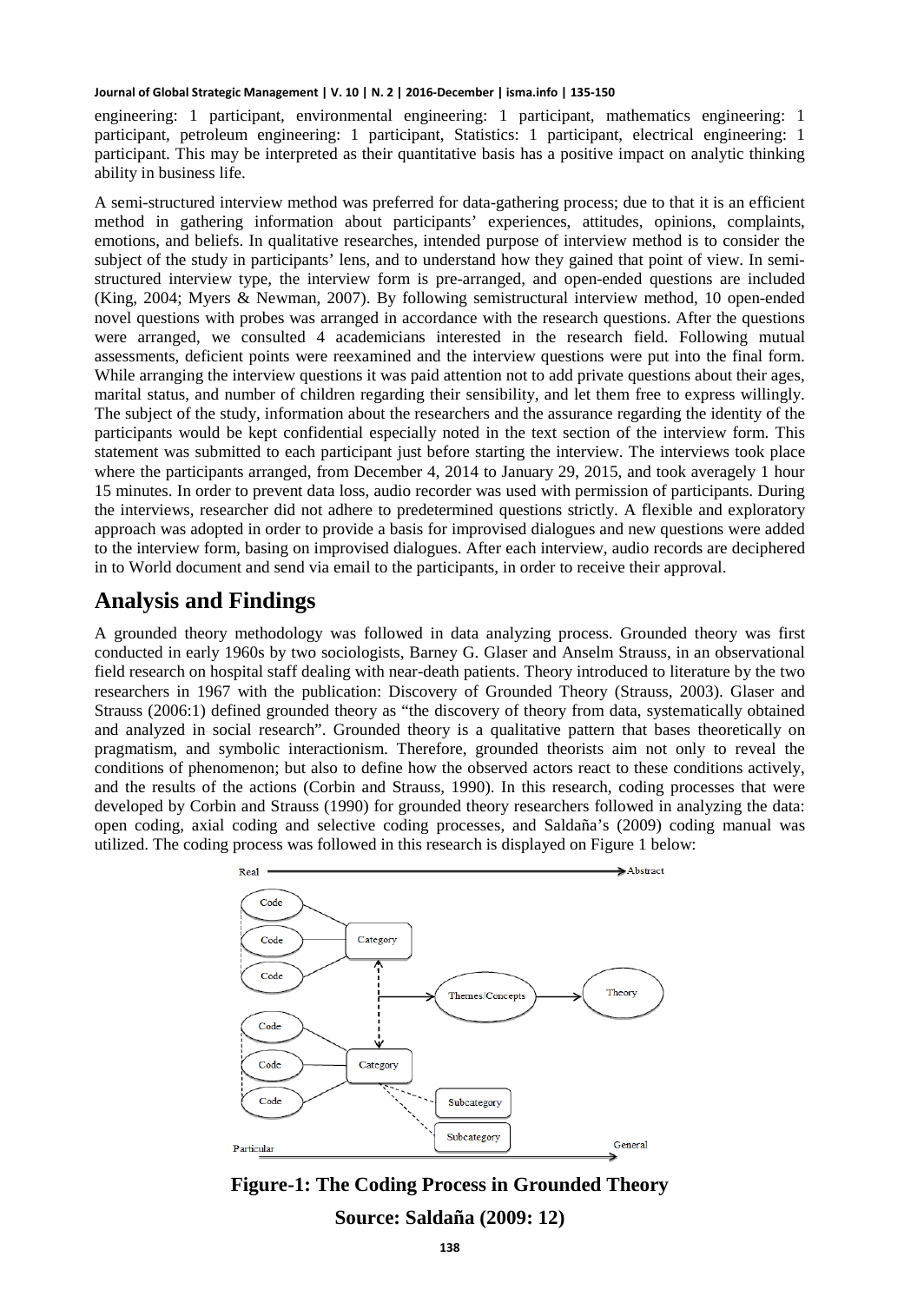engineering: 1 participant, environmental engineering: 1 participant, mathematics engineering: 1 participant, petroleum engineering: 1 participant, Statistics: 1 participant, electrical engineering: 1 participant. This may be interpreted as their quantitative basis has a positive impact on analytic thinking ability in business life.

A semi-structured interview method was preferred for data-gathering process; due to that it is an efficient method in gathering information about participants' experiences, attitudes, opinions, complaints, emotions, and beliefs. In qualitative researches, intended purpose of interview method is to consider the subject of the study in participants' lens, and to understand how they gained that point of view. In semistructured interview type, the interview form is pre-arranged, and open-ended questions are included (King, 2004; Myers & Newman, 2007). By following semistructural interview method, 10 open-ended novel questions with probes was arranged in accordance with the research questions. After the questions were arranged, we consulted 4 academicians interested in the research field. Following mutual assessments, deficient points were reexamined and the interview questions were put into the final form. While arranging the interview questions it was paid attention not to add private questions about their ages, marital status, and number of children regarding their sensibility, and let them free to express willingly. The subject of the study, information about the researchers and the assurance regarding the identity of the participants would be kept confidential especially noted in the text section of the interview form. This statement was submitted to each participant just before starting the interview. The interviews took place where the participants arranged, from December 4, 2014 to January 29, 2015, and took averagely 1 hour 15 minutes. In order to prevent data loss, audio recorder was used with permission of participants. During the interviews, researcher did not adhere to predetermined questions strictly. A flexible and exploratory approach was adopted in order to provide a basis for improvised dialogues and new questions were added to the interview form, basing on improvised dialogues. After each interview, audio records are deciphered in to World document and send via email to the participants, in order to receive their approval.

### **Analysis and Findings**

A grounded theory methodology was followed in data analyzing process. Grounded theory was first conducted in early 1960s by two sociologists, Barney G. Glaser and Anselm Strauss, in an observational field research on hospital staff dealing with near-death patients. Theory introduced to literature by the two researchers in 1967 with the publication: Discovery of Grounded Theory (Strauss, 2003). Glaser and Strauss (2006:1) defined grounded theory as "the discovery of theory from data, systematically obtained and analyzed in social research". Grounded theory is a qualitative pattern that bases theoretically on pragmatism, and symbolic interactionism. Therefore, grounded theorists aim not only to reveal the conditions of phenomenon; but also to define how the observed actors react to these conditions actively, and the results of the actions (Corbin and Strauss, 1990). In this research, coding processes that were developed by Corbin and Strauss (1990) for grounded theory researchers followed in analyzing the data: open coding, axial coding and selective coding processes, and Saldaña's (2009) coding manual was utilized. The coding process was followed in this research is displayed on Figure 1 below:



**Figure-1: The Coding Process in Grounded Theory Source: Saldaña (2009: 12)**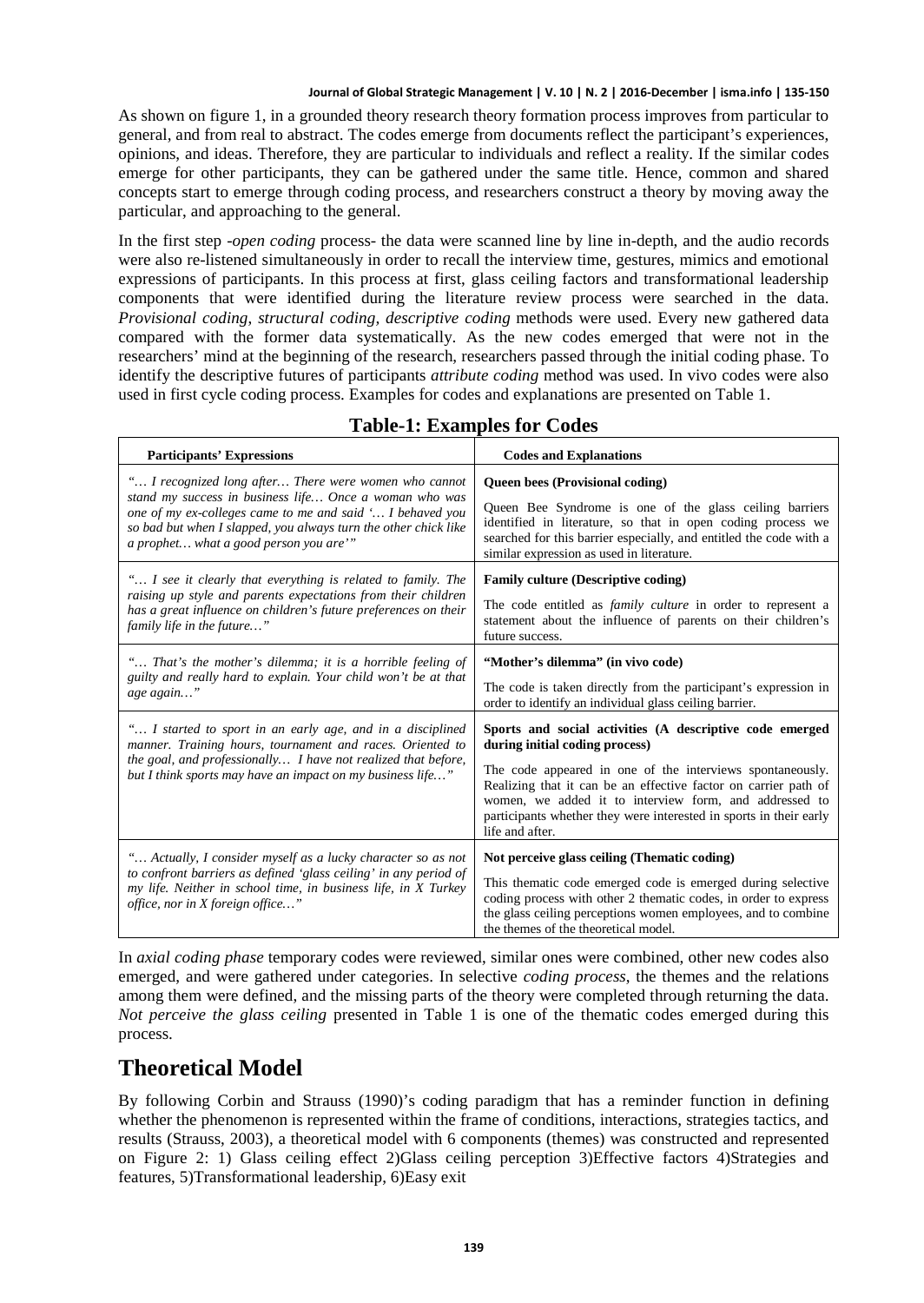As shown on figure 1, in a grounded theory research theory formation process improves from particular to general, and from real to abstract. The codes emerge from documents reflect the participant's experiences, opinions, and ideas. Therefore, they are particular to individuals and reflect a reality. If the similar codes emerge for other participants, they can be gathered under the same title. Hence, common and shared concepts start to emerge through coding process, and researchers construct a theory by moving away the particular, and approaching to the general.

In the first step -*open coding* process- the data were scanned line by line in-depth, and the audio records were also re-listened simultaneously in order to recall the interview time, gestures, mimics and emotional expressions of participants. In this process at first, glass ceiling factors and transformational leadership components that were identified during the literature review process were searched in the data. *Provisional coding*, *structural coding, descriptive coding* methods were used. Every new gathered data compared with the former data systematically. As the new codes emerged that were not in the researchers' mind at the beginning of the research, researchers passed through the initial coding phase. To identify the descriptive futures of participants *attribute coding* method was used. In vivo codes were also used in first cycle coding process. Examples for codes and explanations are presented on Table 1.

| <b>Participants' Expressions</b>                                                                                                                                                                                                                       | <b>Codes and Explanations</b>                                                                                                                                                                                                                                                                                                                                                 |
|--------------------------------------------------------------------------------------------------------------------------------------------------------------------------------------------------------------------------------------------------------|-------------------------------------------------------------------------------------------------------------------------------------------------------------------------------------------------------------------------------------------------------------------------------------------------------------------------------------------------------------------------------|
| " I recognized long after There were women who cannot                                                                                                                                                                                                  | Queen bees (Provisional coding)                                                                                                                                                                                                                                                                                                                                               |
| stand my success in business life Once a woman who was                                                                                                                                                                                                 | Queen Bee Syndrome is one of the glass ceiling barriers                                                                                                                                                                                                                                                                                                                       |
| one of my ex-colleges came to me and said ' I behaved you                                                                                                                                                                                              | identified in literature, so that in open coding process we                                                                                                                                                                                                                                                                                                                   |
| so bad but when I slapped, you always turn the other chick like                                                                                                                                                                                        | searched for this barrier especially, and entitled the code with a                                                                                                                                                                                                                                                                                                            |
| a prophet what a good person you are""                                                                                                                                                                                                                 | similar expression as used in literature.                                                                                                                                                                                                                                                                                                                                     |
| " I see it clearly that everything is related to family. The                                                                                                                                                                                           | <b>Family culture (Descriptive coding)</b>                                                                                                                                                                                                                                                                                                                                    |
| raising up style and parents expectations from their children                                                                                                                                                                                          | The code entitled as <i>family culture</i> in order to represent a                                                                                                                                                                                                                                                                                                            |
| has a great influence on children's future preferences on their                                                                                                                                                                                        | statement about the influence of parents on their children's                                                                                                                                                                                                                                                                                                                  |
| family life in the future"                                                                                                                                                                                                                             | future success.                                                                                                                                                                                                                                                                                                                                                               |
| " That's the mother's dilemma; it is a horrible feeling of                                                                                                                                                                                             | "Mother's dilemma" (in vivo code)                                                                                                                                                                                                                                                                                                                                             |
| guilty and really hard to explain. Your child won't be at that                                                                                                                                                                                         | The code is taken directly from the participant's expression in                                                                                                                                                                                                                                                                                                               |
| age again"                                                                                                                                                                                                                                             | order to identify an individual glass ceiling barrier.                                                                                                                                                                                                                                                                                                                        |
| " I started to sport in an early age, and in a disciplined<br>manner. Training hours, tournament and races. Oriented to<br>the goal, and professionally I have not realized that before,<br>but I think sports may have an impact on my business life" | Sports and social activities (A descriptive code emerged<br>during initial coding process)<br>The code appeared in one of the interviews spontaneously.<br>Realizing that it can be an effective factor on carrier path of<br>women, we added it to interview form, and addressed to<br>participants whether they were interested in sports in their early<br>life and after. |
| " Actually, I consider myself as a lucky character so as not<br>to confront barriers as defined 'glass ceiling' in any period of<br>my life. Neither in school time, in business life, in X Turkey<br>office, nor in X foreign office"                 | Not perceive glass ceiling (Thematic coding)<br>This thematic code emerged code is emerged during selective<br>coding process with other 2 thematic codes, in order to express<br>the glass ceiling perceptions women employees, and to combine<br>the themes of the theoretical model.                                                                                       |

### **Table-1: Examples for Codes**

In *axial coding phase* temporary codes were reviewed, similar ones were combined, other new codes also emerged, and were gathered under categories. In selective *coding process*, the themes and the relations among them were defined, and the missing parts of the theory were completed through returning the data. *Not perceive the glass ceiling* presented in Table 1 is one of the thematic codes emerged during this process.

### **Theoretical Model**

By following Corbin and Strauss (1990)'s coding paradigm that has a reminder function in defining whether the phenomenon is represented within the frame of conditions, interactions, strategies tactics, and results (Strauss, 2003), a theoretical model with 6 components (themes) was constructed and represented on Figure 2: 1) Glass ceiling effect 2)Glass ceiling perception 3)Effective factors 4)Strategies and features, 5)Transformational leadership, 6)Easy exit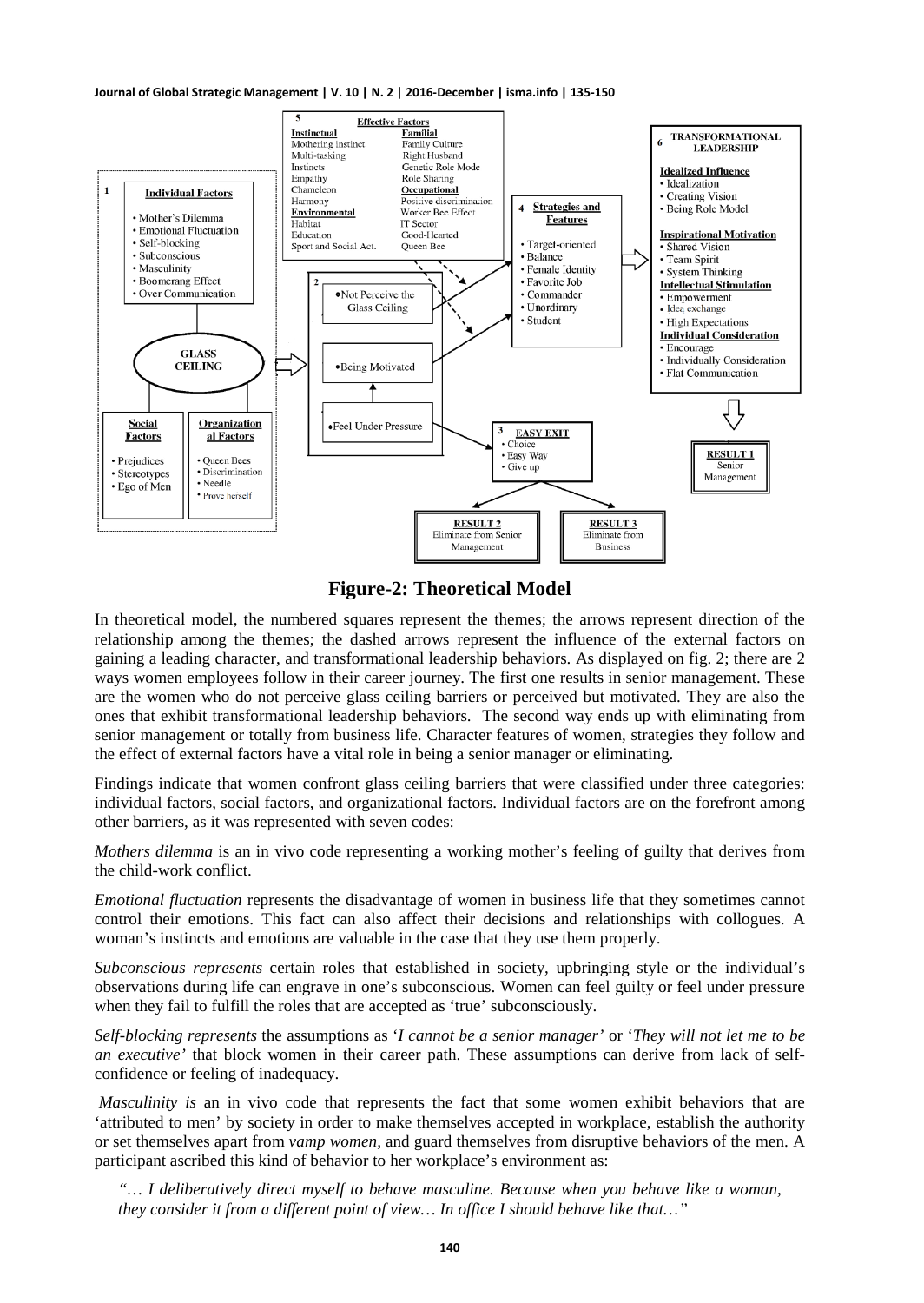

**Figure-2: Theoretical Model**

In theoretical model, the numbered squares represent the themes; the arrows represent direction of the relationship among the themes; the dashed arrows represent the influence of the external factors on gaining a leading character, and transformational leadership behaviors. As displayed on fig. 2; there are 2 ways women employees follow in their career journey. The first one results in senior management. These are the women who do not perceive glass ceiling barriers or perceived but motivated. They are also the ones that exhibit transformational leadership behaviors. The second way ends up with eliminating from senior management or totally from business life. Character features of women, strategies they follow and the effect of external factors have a vital role in being a senior manager or eliminating.

Findings indicate that women confront glass ceiling barriers that were classified under three categories: individual factors, social factors, and organizational factors. Individual factors are on the forefront among other barriers, as it was represented with seven codes:

*Mothers dilemma* is an in vivo code representing a working mother's feeling of guilty that derives from the child-work conflict.

*Emotional fluctuation* represents the disadvantage of women in business life that they sometimes cannot control their emotions. This fact can also affect their decisions and relationships with collogues. A woman's instincts and emotions are valuable in the case that they use them properly.

*Subconscious represents* certain roles that established in society, upbringing style or the individual's observations during life can engrave in one's subconscious. Women can feel guilty or feel under pressure when they fail to fulfill the roles that are accepted as 'true' subconsciously.

*Self-blocking represents* the assumptions as '*I cannot be a senior manager'* or '*They will not let me to be an executive'* that block women in their career path. These assumptions can derive from lack of selfconfidence or feeling of inadequacy.

*Masculinity is* an in vivo code that represents the fact that some women exhibit behaviors that are 'attributed to men' by society in order to make themselves accepted in workplace, establish the authority or set themselves apart from *vamp women,* and guard themselves from disruptive behaviors of the men. A participant ascribed this kind of behavior to her workplace's environment as:

*"… I deliberatively direct myself to behave masculine. Because when you behave like a woman, they consider it from a different point of view… In office I should behave like that…"*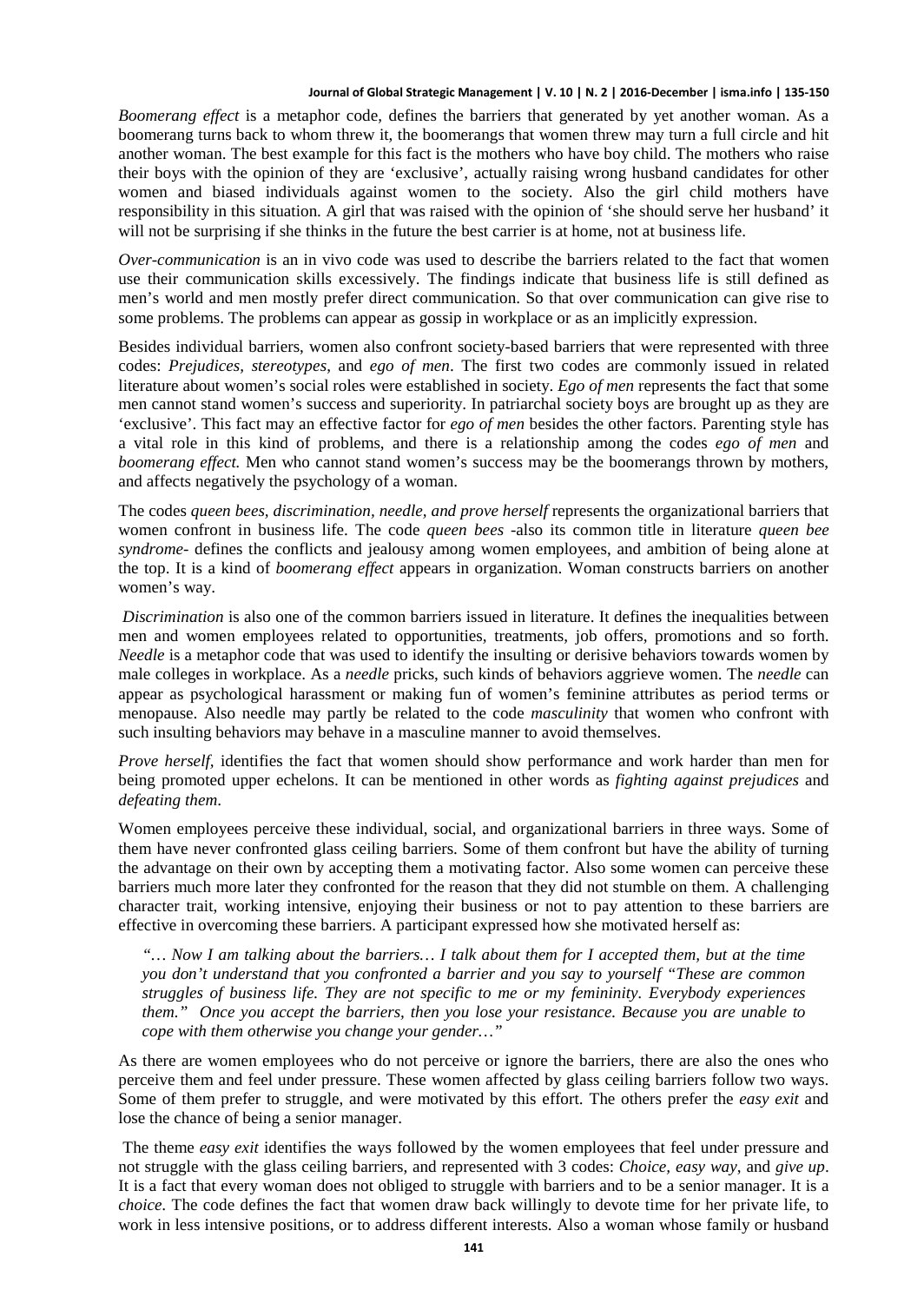*Boomerang effect* is a metaphor code, defines the barriers that generated by yet another woman. As a boomerang turns back to whom threw it, the boomerangs that women threw may turn a full circle and hit another woman. The best example for this fact is the mothers who have boy child. The mothers who raise their boys with the opinion of they are 'exclusive', actually raising wrong husband candidates for other women and biased individuals against women to the society. Also the girl child mothers have responsibility in this situation. A girl that was raised with the opinion of 'she should serve her husband' it will not be surprising if she thinks in the future the best carrier is at home, not at business life.

*Over-communication* is an in vivo code was used to describe the barriers related to the fact that women use their communication skills excessively. The findings indicate that business life is still defined as men's world and men mostly prefer direct communication. So that over communication can give rise to some problems. The problems can appear as gossip in workplace or as an implicitly expression.

Besides individual barriers, women also confront society-based barriers that were represented with three codes: *Prejudices, stereotypes*, and *ego of men*. The first two codes are commonly issued in related literature about women's social roles were established in society. *Ego of men* represents the fact that some men cannot stand women's success and superiority. In patriarchal society boys are brought up as they are 'exclusive'. This fact may an effective factor for *ego of men* besides the other factors. Parenting style has a vital role in this kind of problems, and there is a relationship among the codes *ego of men* and *boomerang effect.* Men who cannot stand women's success may be the boomerangs thrown by mothers, and affects negatively the psychology of a woman.

The codes *queen bees, discrimination, needle, and prove herself* represents the organizational barriers that women confront in business life. The code *queen bees* -also its common title in literature *queen bee syndrome*- defines the conflicts and jealousy among women employees, and ambition of being alone at the top. It is a kind of *boomerang effect* appears in organization. Woman constructs barriers on another women's way.

*Discrimination* is also one of the common barriers issued in literature. It defines the inequalities between men and women employees related to opportunities, treatments, job offers, promotions and so forth. *Needle* is a metaphor code that was used to identify the insulting or derisive behaviors towards women by male colleges in workplace. As a *needle* pricks, such kinds of behaviors aggrieve women. The *needle* can appear as psychological harassment or making fun of women's feminine attributes as period terms or menopause. Also needle may partly be related to the code *masculinity* that women who confront with such insulting behaviors may behave in a masculine manner to avoid themselves.

*Prove herself,* identifies the fact that women should show performance and work harder than men for being promoted upper echelons. It can be mentioned in other words as *fighting against prejudices* and *defeating them*.

Women employees perceive these individual, social, and organizational barriers in three ways. Some of them have never confronted glass ceiling barriers. Some of them confront but have the ability of turning the advantage on their own by accepting them a motivating factor. Also some women can perceive these barriers much more later they confronted for the reason that they did not stumble on them. A challenging character trait, working intensive, enjoying their business or not to pay attention to these barriers are effective in overcoming these barriers. A participant expressed how she motivated herself as:

*"… Now I am talking about the barriers… I talk about them for I accepted them, but at the time you don't understand that you confronted a barrier and you say to yourself "These are common struggles of business life. They are not specific to me or my femininity. Everybody experiences them." Once you accept the barriers, then you lose your resistance. Because you are unable to cope with them otherwise you change your gender…"*

As there are women employees who do not perceive or ignore the barriers, there are also the ones who perceive them and feel under pressure. These women affected by glass ceiling barriers follow two ways. Some of them prefer to struggle, and were motivated by this effort. The others prefer the *easy exit* and lose the chance of being a senior manager.

The theme *easy exit* identifies the ways followed by the women employees that feel under pressure and not struggle with the glass ceiling barriers, and represented with 3 codes: *Choice, easy way*, and *give up*. It is a fact that every woman does not obliged to struggle with barriers and to be a senior manager. It is a *choice.* The code defines the fact that women draw back willingly to devote time for her private life, to work in less intensive positions, or to address different interests. Also a woman whose family or husband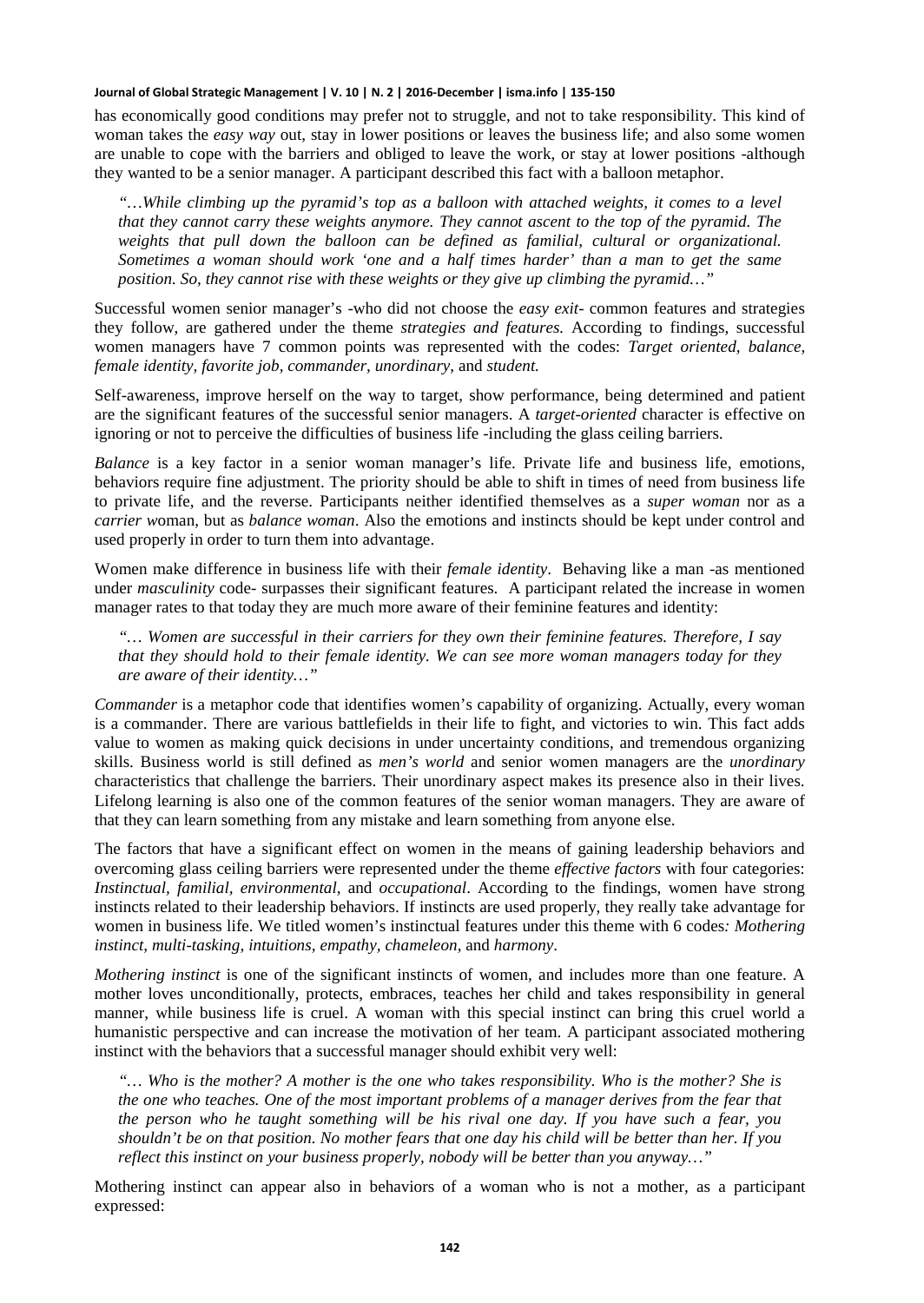has economically good conditions may prefer not to struggle, and not to take responsibility. This kind of woman takes the *easy way* out, stay in lower positions or leaves the business life; and also some women are unable to cope with the barriers and obliged to leave the work, or stay at lower positions -although they wanted to be a senior manager. A participant described this fact with a balloon metaphor.

*"…While climbing up the pyramid's top as a balloon with attached weights, it comes to a level that they cannot carry these weights anymore. They cannot ascent to the top of the pyramid. The weights that pull down the balloon can be defined as familial, cultural or organizational. Sometimes a woman should work 'one and a half times harder' than a man to get the same position. So, they cannot rise with these weights or they give up climbing the pyramid…"*

Successful women senior manager's -who did not choose the *easy exit*- common features and strategies they follow, are gathered under the theme *strategies and features.* According to findings, successful women managers have 7 common points was represented with the codes: *Target oriented, balance, female identity, favorite job, commander, unordinary*, and *student.*

Self-awareness, improve herself on the way to target, show performance, being determined and patient are the significant features of the successful senior managers. A *target-oriented* character is effective on ignoring or not to perceive the difficulties of business life -including the glass ceiling barriers.

*Balance* is a key factor in a senior woman manager's life. Private life and business life, emotions, behaviors require fine adjustment. The priority should be able to shift in times of need from business life to private life, and the reverse. Participants neither identified themselves as a *super woman* nor as a *carrier w*oman, but as *balance woman*. Also the emotions and instincts should be kept under control and used properly in order to turn them into advantage.

Women make difference in business life with their *female identity*. Behaving like a man -as mentioned under *masculinity* code- surpasses their significant features. A participant related the increase in women manager rates to that today they are much more aware of their feminine features and identity:

*"… Women are successful in their carriers for they own their feminine features. Therefore, I say that they should hold to their female identity. We can see more woman managers today for they are aware of their identity…"*

*Commander* is a metaphor code that identifies women's capability of organizing. Actually, every woman is a commander. There are various battlefields in their life to fight, and victories to win. This fact adds value to women as making quick decisions in under uncertainty conditions, and tremendous organizing skills. Business world is still defined as *men's world* and senior women managers are the *unordinary* characteristics that challenge the barriers. Their unordinary aspect makes its presence also in their lives. Lifelong learning is also one of the common features of the senior woman managers. They are aware of that they can learn something from any mistake and learn something from anyone else.

The factors that have a significant effect on women in the means of gaining leadership behaviors and overcoming glass ceiling barriers were represented under the theme *effective factors* with four categories: *Instinctual, familial, environmental*, and *occupational*. According to the findings, women have strong instincts related to their leadership behaviors. If instincts are used properly, they really take advantage for women in business life. We titled women's instinctual features under this theme with 6 codes*: Mothering instinct, multi-tasking, intuitions, empathy, chameleon*, and *harmony*.

*Mothering instinct* is one of the significant instincts of women, and includes more than one feature. A mother loves unconditionally, protects, embraces, teaches her child and takes responsibility in general manner, while business life is cruel. A woman with this special instinct can bring this cruel world a humanistic perspective and can increase the motivation of her team. A participant associated mothering instinct with the behaviors that a successful manager should exhibit very well:

*"… Who is the mother? A mother is the one who takes responsibility. Who is the mother? She is the one who teaches. One of the most important problems of a manager derives from the fear that the person who he taught something will be his rival one day. If you have such a fear, you shouldn't be on that position. No mother fears that one day his child will be better than her. If you reflect this instinct on your business properly, nobody will be better than you anyway…"* 

Mothering instinct can appear also in behaviors of a woman who is not a mother, as a participant expressed: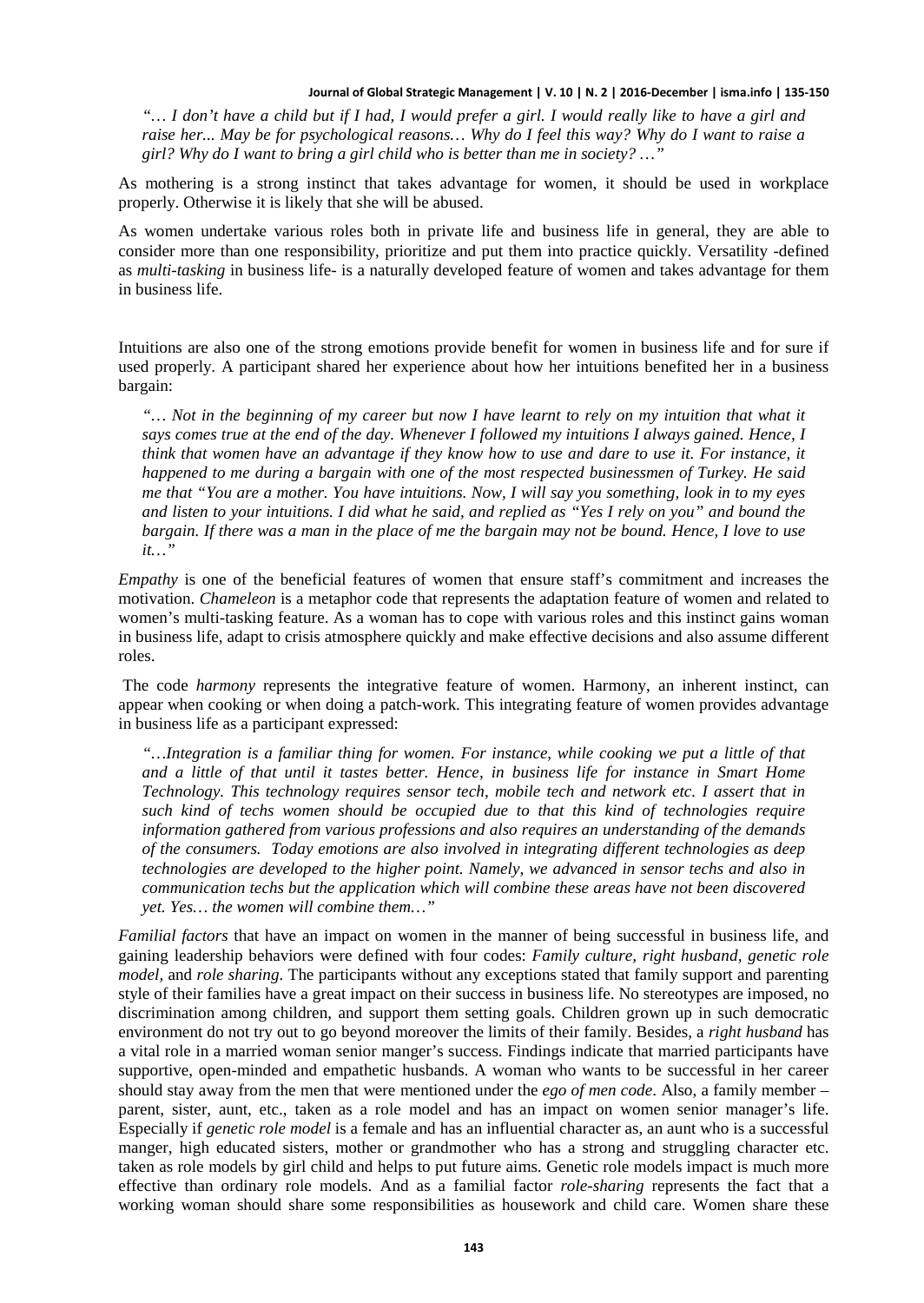*"… I don't have a child but if I had, I would prefer a girl. I would really like to have a girl and raise her... May be for psychological reasons… Why do I feel this way? Why do I want to raise a girl? Why do I want to bring a girl child who is better than me in society? …"*

As mothering is a strong instinct that takes advantage for women, it should be used in workplace properly. Otherwise it is likely that she will be abused.

As women undertake various roles both in private life and business life in general, they are able to consider more than one responsibility, prioritize and put them into practice quickly. Versatility -defined as *multi-tasking* in business life- is a naturally developed feature of women and takes advantage for them in business life.

Intuitions are also one of the strong emotions provide benefit for women in business life and for sure if used properly. A participant shared her experience about how her intuitions benefited her in a business bargain:

*"… Not in the beginning of my career but now I have learnt to rely on my intuition that what it says comes true at the end of the day. Whenever I followed my intuitions I always gained. Hence, I think that women have an advantage if they know how to use and dare to use it. For instance, it happened to me during a bargain with one of the most respected businessmen of Turkey. He said me that "You are a mother. You have intuitions. Now, I will say you something, look in to my eyes and listen to your intuitions. I did what he said, and replied as "Yes I rely on you" and bound the bargain. If there was a man in the place of me the bargain may not be bound. Hence, I love to use it…"*

*Empathy* is one of the beneficial features of women that ensure staff's commitment and increases the motivation. *Chameleon* is a metaphor code that represents the adaptation feature of women and related to women's multi-tasking feature. As a woman has to cope with various roles and this instinct gains woman in business life, adapt to crisis atmosphere quickly and make effective decisions and also assume different roles.

The code *harmony* represents the integrative feature of women. Harmony, an inherent instinct, can appear when cooking or when doing a patch-work. This integrating feature of women provides advantage in business life as a participant expressed:

*"…Integration is a familiar thing for women. For instance, while cooking we put a little of that and a little of that until it tastes better. Hence, in business life for instance in Smart Home Technology. This technology requires sensor tech, mobile tech and network etc. I assert that in such kind of techs women should be occupied due to that this kind of technologies require information gathered from various professions and also requires an understanding of the demands of the consumers. Today emotions are also involved in integrating different technologies as deep technologies are developed to the higher point. Namely, we advanced in sensor techs and also in communication techs but the application which will combine these areas have not been discovered yet. Yes… the women will combine them…"*

*Familial factors* that have an impact on women in the manner of being successful in business life, and gaining leadership behaviors were defined with four codes: *Family culture, right husband, genetic role model,* and *role sharing.* The participants without any exceptions stated that family support and parenting style of their families have a great impact on their success in business life. No stereotypes are imposed, no discrimination among children, and support them setting goals. Children grown up in such democratic environment do not try out to go beyond moreover the limits of their family. Besides, a *right husband* has a vital role in a married woman senior manger's success. Findings indicate that married participants have supportive, open-minded and empathetic husbands. A woman who wants to be successful in her career should stay away from the men that were mentioned under the *ego of men code*. Also, a family member – parent, sister, aunt, etc., taken as a role model and has an impact on women senior manager's life. Especially if *genetic role model* is a female and has an influential character as, an aunt who is a successful manger, high educated sisters, mother or grandmother who has a strong and struggling character etc. taken as role models by girl child and helps to put future aims. Genetic role models impact is much more effective than ordinary role models. And as a familial factor *role-sharing* represents the fact that a working woman should share some responsibilities as housework and child care. Women share these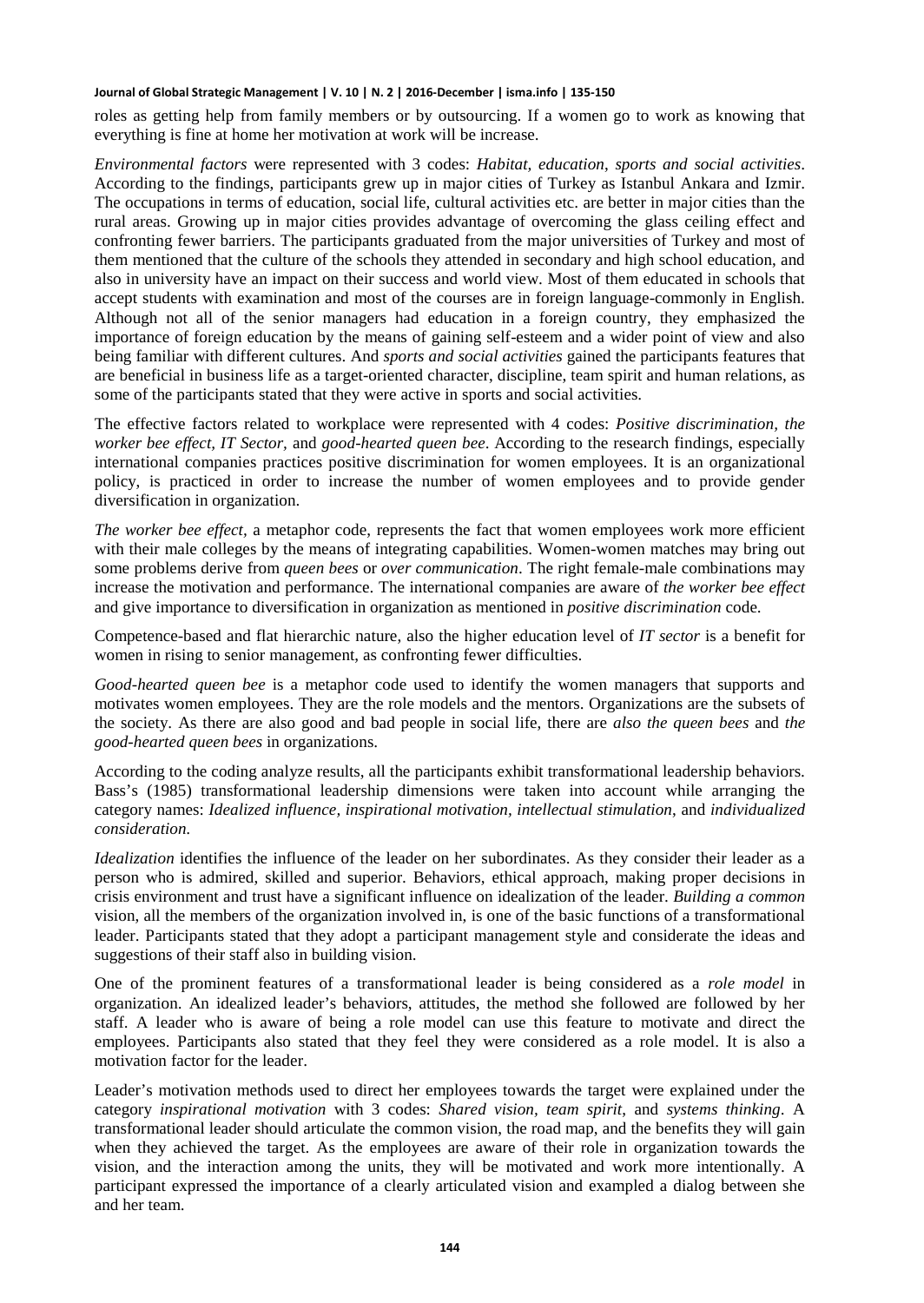roles as getting help from family members or by outsourcing. If a women go to work as knowing that everything is fine at home her motivation at work will be increase.

*Environmental factors* were represented with 3 codes: *Habitat, education*, *sports and social activities*. According to the findings, participants grew up in major cities of Turkey as Istanbul Ankara and Izmir. The occupations in terms of education, social life, cultural activities etc. are better in major cities than the rural areas. Growing up in major cities provides advantage of overcoming the glass ceiling effect and confronting fewer barriers. The participants graduated from the major universities of Turkey and most of them mentioned that the culture of the schools they attended in secondary and high school education, and also in university have an impact on their success and world view. Most of them educated in schools that accept students with examination and most of the courses are in foreign language-commonly in English. Although not all of the senior managers had education in a foreign country, they emphasized the importance of foreign education by the means of gaining self-esteem and a wider point of view and also being familiar with different cultures. And *sports and social activities* gained the participants features that are beneficial in business life as a target-oriented character, discipline, team spirit and human relations, as some of the participants stated that they were active in sports and social activities.

The effective factors related to workplace were represented with 4 codes: *Positive discrimination, the worker bee effect, IT Sector,* and *good-hearted queen bee*. According to the research findings, especially international companies practices positive discrimination for women employees. It is an organizational policy, is practiced in order to increase the number of women employees and to provide gender diversification in organization.

*The worker bee effect,* a metaphor code, represents the fact that women employees work more efficient with their male colleges by the means of integrating capabilities. Women-women matches may bring out some problems derive from *queen bees* or *over communication*. The right female-male combinations may increase the motivation and performance. The international companies are aware of *the worker bee effect* and give importance to diversification in organization as mentioned in *positive discrimination* code.

Competence-based and flat hierarchic nature, also the higher education level of *IT sector* is a benefit for women in rising to senior management, as confronting fewer difficulties.

*Good-hearted queen bee* is a metaphor code used to identify the women managers that supports and motivates women employees. They are the role models and the mentors. Organizations are the subsets of the society. As there are also good and bad people in social life, there are *also the queen bees* and *the good-hearted queen bees* in organizations.

According to the coding analyze results, all the participants exhibit transformational leadership behaviors. Bass's (1985) transformational leadership dimensions were taken into account while arranging the category names: *Idealized influence, inspirational motivation, intellectual stimulation*, and *individualized consideration.*

*Idealization* identifies the influence of the leader on her subordinates. As they consider their leader as a person who is admired, skilled and superior. Behaviors, ethical approach, making proper decisions in crisis environment and trust have a significant influence on idealization of the leader. *Building a common* vision, all the members of the organization involved in, is one of the basic functions of a transformational leader. Participants stated that they adopt a participant management style and considerate the ideas and suggestions of their staff also in building vision.

One of the prominent features of a transformational leader is being considered as a *role model* in organization. An idealized leader's behaviors, attitudes, the method she followed are followed by her staff. A leader who is aware of being a role model can use this feature to motivate and direct the employees. Participants also stated that they feel they were considered as a role model. It is also a motivation factor for the leader.

Leader's motivation methods used to direct her employees towards the target were explained under the category *inspirational motivation* with 3 codes: *Shared vision, team spirit*, and *systems thinking*. A transformational leader should articulate the common vision, the road map, and the benefits they will gain when they achieved the target. As the employees are aware of their role in organization towards the vision, and the interaction among the units, they will be motivated and work more intentionally. A participant expressed the importance of a clearly articulated vision and exampled a dialog between she and her team.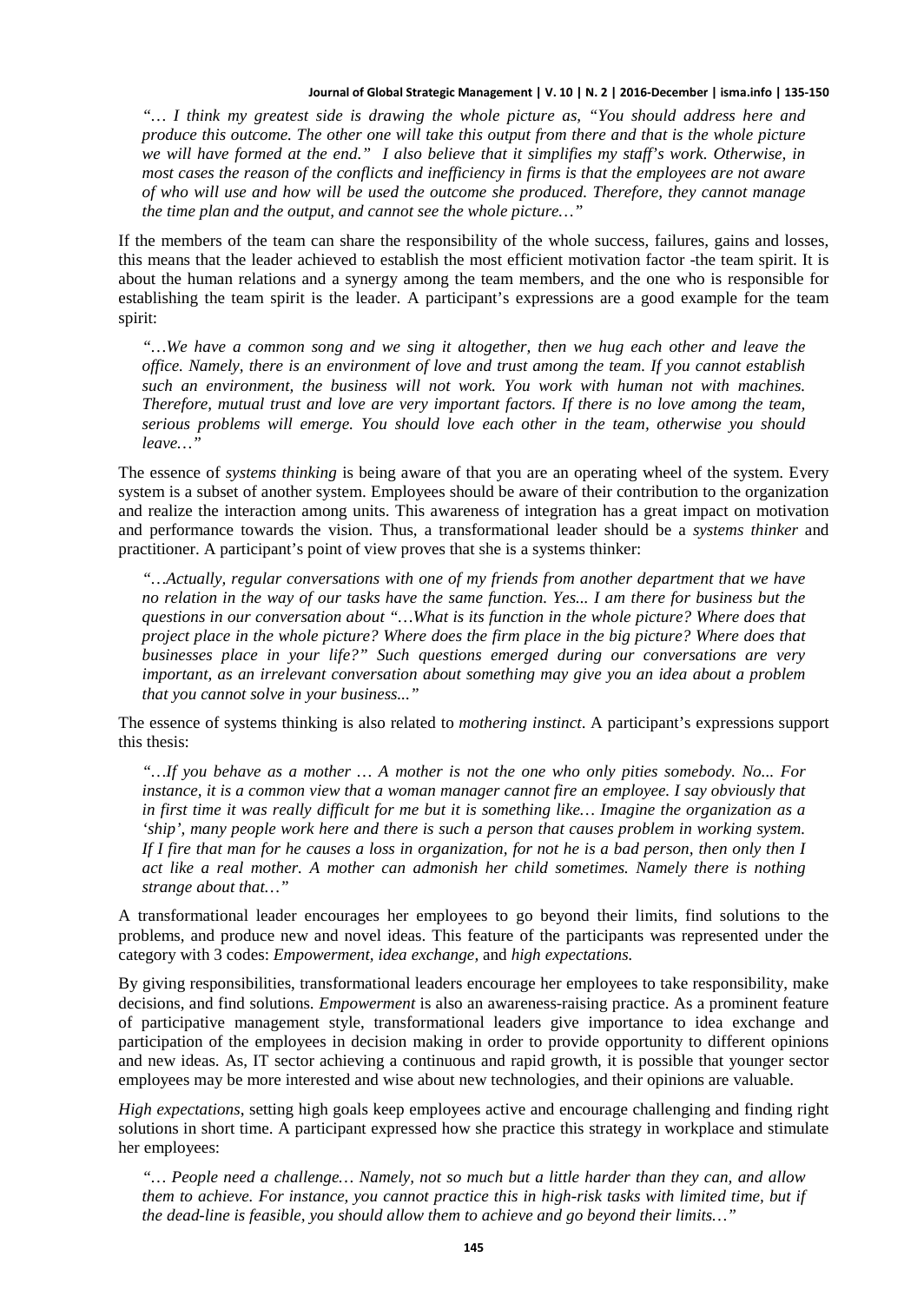*"… I think my greatest side is drawing the whole picture as, "You should address here and produce this outcome. The other one will take this output from there and that is the whole picture we will have formed at the end." I also believe that it simplifies my staff's work. Otherwise, in most cases the reason of the conflicts and inefficiency in firms is that the employees are not aware of who will use and how will be used the outcome she produced. Therefore, they cannot manage the time plan and the output, and cannot see the whole picture…"*

If the members of the team can share the responsibility of the whole success, failures, gains and losses, this means that the leader achieved to establish the most efficient motivation factor -the team spirit. It is about the human relations and a synergy among the team members, and the one who is responsible for establishing the team spirit is the leader. A participant's expressions are a good example for the team spirit:

*"…We have a common song and we sing it altogether, then we hug each other and leave the office. Namely, there is an environment of love and trust among the team. If you cannot establish such an environment, the business will not work. You work with human not with machines. Therefore, mutual trust and love are very important factors. If there is no love among the team, serious problems will emerge. You should love each other in the team, otherwise you should leave…"*

The essence of *systems thinking* is being aware of that you are an operating wheel of the system. Every system is a subset of another system. Employees should be aware of their contribution to the organization and realize the interaction among units. This awareness of integration has a great impact on motivation and performance towards the vision. Thus, a transformational leader should be a *systems thinker* and practitioner. A participant's point of view proves that she is a systems thinker:

*"…Actually, regular conversations with one of my friends from another department that we have no relation in the way of our tasks have the same function. Yes... I am there for business but the questions in our conversation about "…What is its function in the whole picture? Where does that project place in the whole picture? Where does the firm place in the big picture? Where does that businesses place in your life?" Such questions emerged during our conversations are very important, as an irrelevant conversation about something may give you an idea about a problem that you cannot solve in your business..."*

The essence of systems thinking is also related to *mothering instinct*. A participant's expressions support this thesis:

*"…If you behave as a mother … A mother is not the one who only pities somebody. No... For instance, it is a common view that a woman manager cannot fire an employee. I say obviously that in first time it was really difficult for me but it is something like… Imagine the organization as a 'ship', many people work here and there is such a person that causes problem in working system. If I fire that man for he causes a loss in organization, for not he is a bad person, then only then I act like a real mother. A mother can admonish her child sometimes. Namely there is nothing strange about that…"*

A transformational leader encourages her employees to go beyond their limits, find solutions to the problems, and produce new and novel ideas. This feature of the participants was represented under the category with 3 codes: *Empowerment, idea exchange,* and *high expectations.*

By giving responsibilities, transformational leaders encourage her employees to take responsibility, make decisions, and find solutions. *Empowerment* is also an awareness-raising practice. As a prominent feature of participative management style, transformational leaders give importance to idea exchange and participation of the employees in decision making in order to provide opportunity to different opinions and new ideas. As, IT sector achieving a continuous and rapid growth, it is possible that younger sector employees may be more interested and wise about new technologies, and their opinions are valuable.

*High expectations*, setting high goals keep employees active and encourage challenging and finding right solutions in short time. A participant expressed how she practice this strategy in workplace and stimulate her employees:

*"… People need a challenge… Namely, not so much but a little harder than they can, and allow them to achieve. For instance, you cannot practice this in high-risk tasks with limited time, but if the dead-line is feasible, you should allow them to achieve and go beyond their limits…"*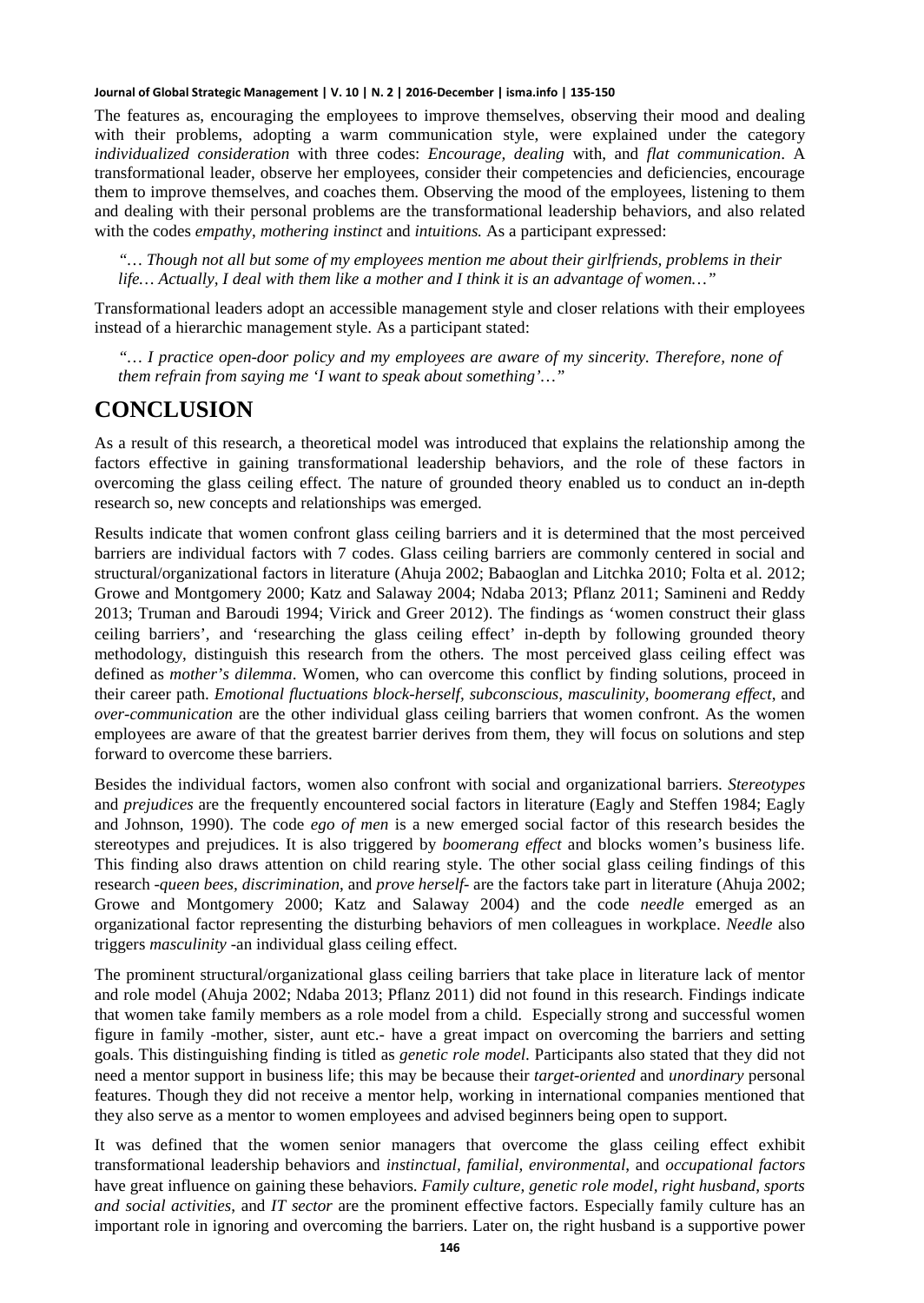The features as, encouraging the employees to improve themselves, observing their mood and dealing with their problems, adopting a warm communication style, were explained under the category *individualized consideration* with three codes: *Encourage, dealing* with, and *flat communication*. A transformational leader, observe her employees, consider their competencies and deficiencies, encourage them to improve themselves, and coaches them. Observing the mood of the employees, listening to them and dealing with their personal problems are the transformational leadership behaviors, and also related with the codes *empathy*, *mothering instinct* and *intuitions.* As a participant expressed:

*"… Though not all but some of my employees mention me about their girlfriends, problems in their life… Actually, I deal with them like a mother and I think it is an advantage of women…"*

Transformational leaders adopt an accessible management style and closer relations with their employees instead of a hierarchic management style. As a participant stated:

*"… I practice open-door policy and my employees are aware of my sincerity. Therefore, none of them refrain from saying me 'I want to speak about something'…"*

### **CONCLUSION**

As a result of this research, a theoretical model was introduced that explains the relationship among the factors effective in gaining transformational leadership behaviors, and the role of these factors in overcoming the glass ceiling effect. The nature of grounded theory enabled us to conduct an in-depth research so, new concepts and relationships was emerged.

Results indicate that women confront glass ceiling barriers and it is determined that the most perceived barriers are individual factors with 7 codes. Glass ceiling barriers are commonly centered in social and structural/organizational factors in literature (Ahuja 2002; Babaoglan and Litchka 2010; Folta et al. 2012; Growe and Montgomery 2000; Katz and Salaway 2004; Ndaba 2013; Pflanz 2011; Samineni and Reddy 2013; Truman and Baroudi 1994; Virick and Greer 2012). The findings as 'women construct their glass ceiling barriers', and 'researching the glass ceiling effect' in-depth by following grounded theory methodology, distinguish this research from the others. The most perceived glass ceiling effect was defined as *mother's dilemma*. Women, who can overcome this conflict by finding solutions, proceed in their career path. *Emotional fluctuations block-herself, subconscious, masculinity, boomerang effect*, and *over-communication* are the other individual glass ceiling barriers that women confront. As the women employees are aware of that the greatest barrier derives from them, they will focus on solutions and step forward to overcome these barriers.

Besides the individual factors, women also confront with social and organizational barriers. *Stereotypes* and *prejudices* are the frequently encountered social factors in literature (Eagly and Steffen 1984; Eagly and Johnson, 1990). The code *ego of men* is a new emerged social factor of this research besides the stereotypes and prejudices. It is also triggered by *boomerang effect* and blocks women's business life. This finding also draws attention on child rearing style. The other social glass ceiling findings of this research -*queen bees, discrimination*, and *prove herself*- are the factors take part in literature (Ahuja 2002; Growe and Montgomery 2000; Katz and Salaway 2004) and the code *needle* emerged as an organizational factor representing the disturbing behaviors of men colleagues in workplace. *Needle* also triggers *masculinity* -an individual glass ceiling effect.

The prominent structural/organizational glass ceiling barriers that take place in literature lack of mentor and role model (Ahuja 2002; Ndaba 2013; Pflanz 2011) did not found in this research. Findings indicate that women take family members as a role model from a child. Especially strong and successful women figure in family -mother, sister, aunt etc.- have a great impact on overcoming the barriers and setting goals. This distinguishing finding is titled as *genetic role model*. Participants also stated that they did not need a mentor support in business life; this may be because their *target-oriented* and *unordinary* personal features. Though they did not receive a mentor help, working in international companies mentioned that they also serve as a mentor to women employees and advised beginners being open to support.

It was defined that the women senior managers that overcome the glass ceiling effect exhibit transformational leadership behaviors and *instinctual, familial, environmental*, and *occupational factors* have great influence on gaining these behaviors. *Family culture, genetic role model, right husband*, *sports and social activities*, and *IT sector* are the prominent effective factors. Especially family culture has an important role in ignoring and overcoming the barriers. Later on, the right husband is a supportive power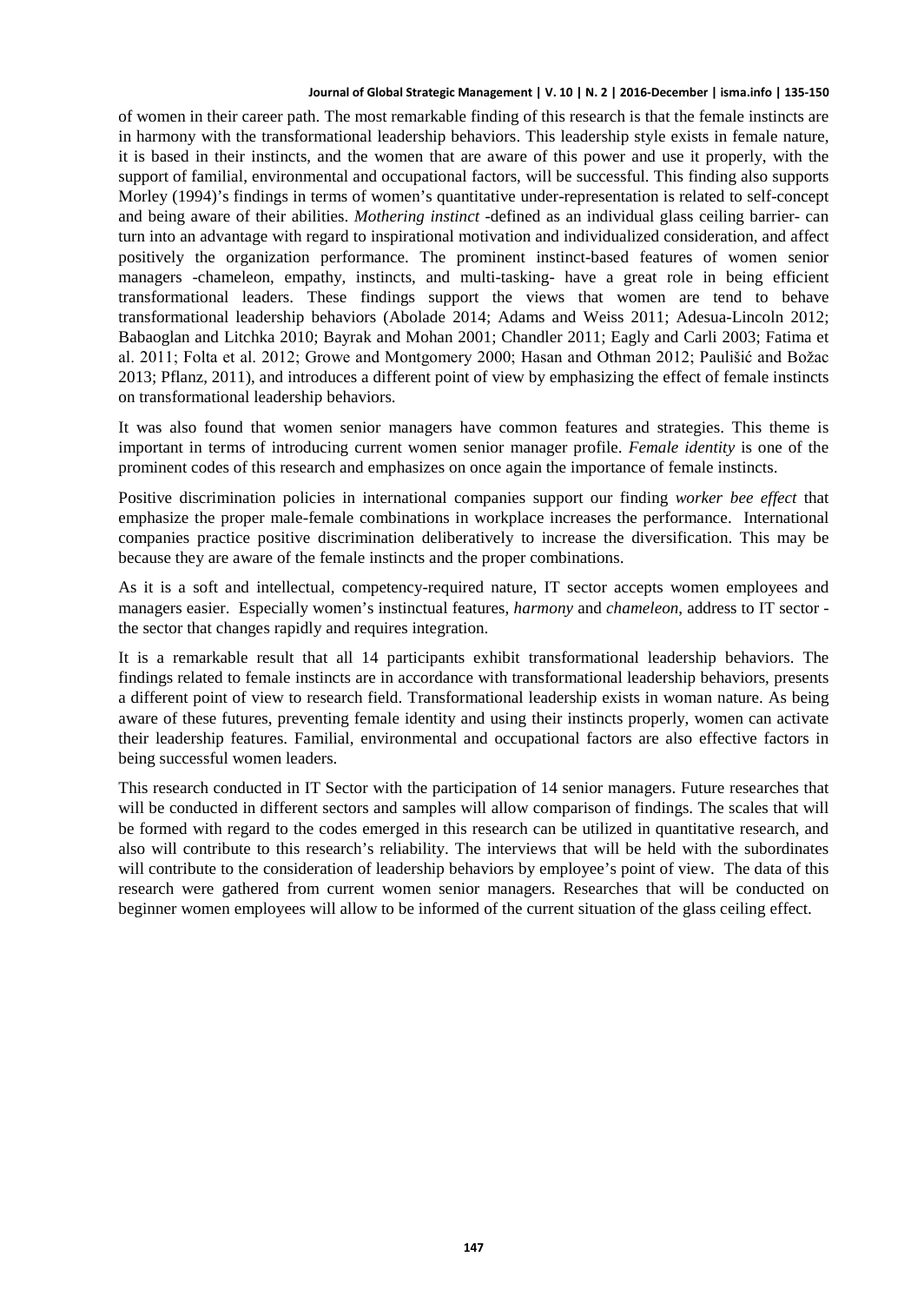of women in their career path. The most remarkable finding of this research is that the female instincts are in harmony with the transformational leadership behaviors. This leadership style exists in female nature, it is based in their instincts, and the women that are aware of this power and use it properly, with the support of familial, environmental and occupational factors, will be successful. This finding also supports Morley (1994)'s findings in terms of women's quantitative under-representation is related to self-concept and being aware of their abilities. *Mothering instinct* -defined as an individual glass ceiling barrier- can turn into an advantage with regard to inspirational motivation and individualized consideration, and affect positively the organization performance. The prominent instinct-based features of women senior managers -chameleon, empathy, instincts, and multi-tasking- have a great role in being efficient transformational leaders. These findings support the views that women are tend to behave transformational leadership behaviors (Abolade 2014; Adams and Weiss 2011; Adesua-Lincoln 2012; Babaoglan and Litchka 2010; Bayrak and Mohan 2001; Chandler 2011; Eagly and Carli 2003; Fatima et al. 2011; Folta et al. 2012; Growe and Montgomery 2000; Hasan and Othman 2012; Paulišić and Božac 2013; Pflanz, 2011), and introduces a different point of view by emphasizing the effect of female instincts on transformational leadership behaviors.

It was also found that women senior managers have common features and strategies. This theme is important in terms of introducing current women senior manager profile. *Female identity* is one of the prominent codes of this research and emphasizes on once again the importance of female instincts.

Positive discrimination policies in international companies support our finding *worker bee effect* that emphasize the proper male-female combinations in workplace increases the performance. International companies practice positive discrimination deliberatively to increase the diversification. This may be because they are aware of the female instincts and the proper combinations.

As it is a soft and intellectual, competency-required nature, IT sector accepts women employees and managers easier. Especially women's instinctual features, *harmony* and *chameleon*, address to IT sector the sector that changes rapidly and requires integration.

It is a remarkable result that all 14 participants exhibit transformational leadership behaviors. The findings related to female instincts are in accordance with transformational leadership behaviors, presents a different point of view to research field. Transformational leadership exists in woman nature. As being aware of these futures, preventing female identity and using their instincts properly, women can activate their leadership features. Familial, environmental and occupational factors are also effective factors in being successful women leaders.

This research conducted in IT Sector with the participation of 14 senior managers. Future researches that will be conducted in different sectors and samples will allow comparison of findings. The scales that will be formed with regard to the codes emerged in this research can be utilized in quantitative research, and also will contribute to this research's reliability. The interviews that will be held with the subordinates will contribute to the consideration of leadership behaviors by employee's point of view. The data of this research were gathered from current women senior managers. Researches that will be conducted on beginner women employees will allow to be informed of the current situation of the glass ceiling effect.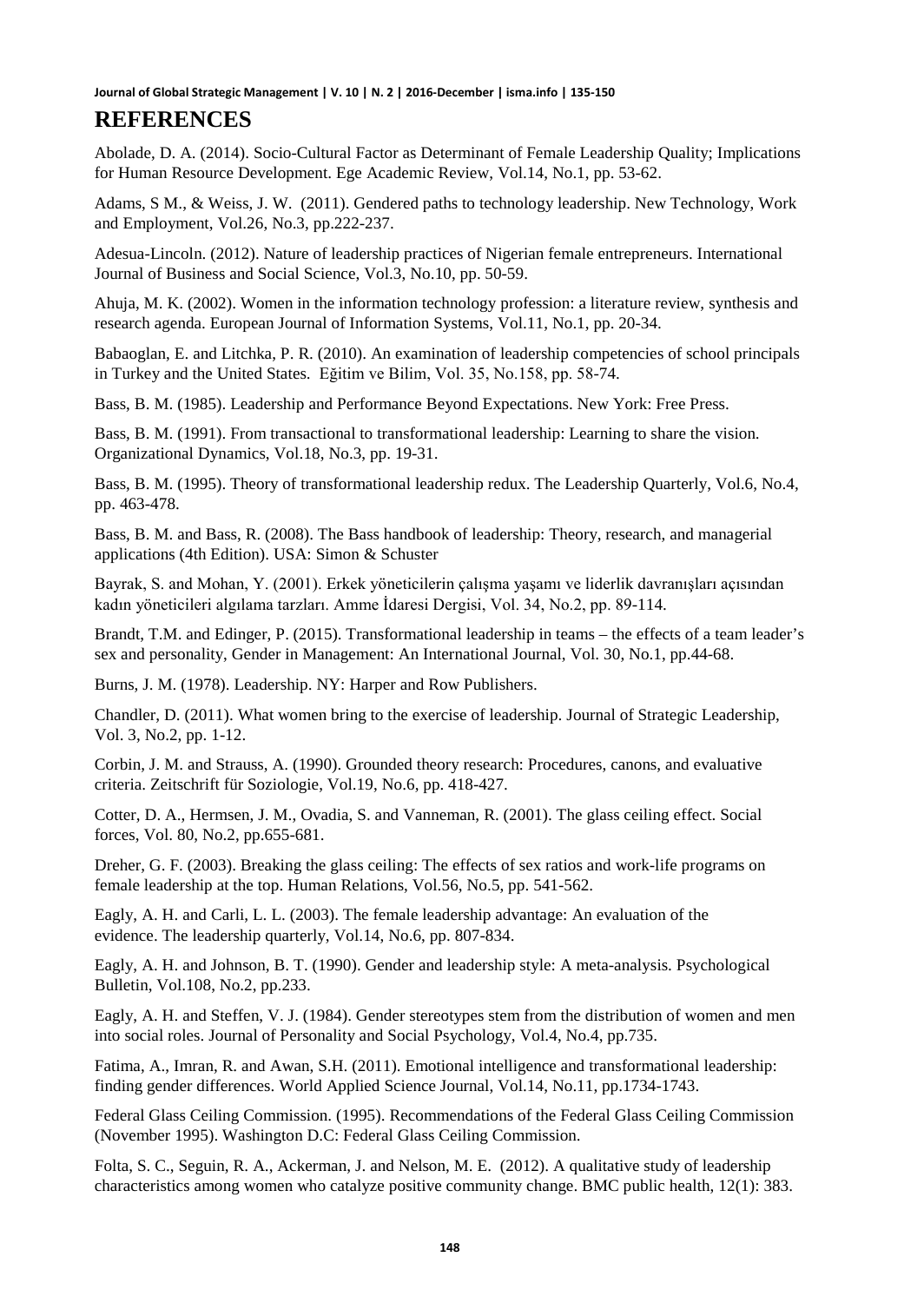### **REFERENCES**

Abolade, D. A. (2014). Socio-Cultural Factor as Determinant of Female Leadership Quality; Implications for Human Resource Development. Ege Academic Review, Vol.14, No.1, pp. 53-62.

Adams, S M., & Weiss, J. W. (2011). Gendered paths to technology leadership. New Technology, Work and Employment, Vol.26, No.3, pp.222-237.

Adesua-Lincoln. (2012). Nature of leadership practices of Nigerian female entrepreneurs. International Journal of Business and Social Science, Vol.3, No.10, pp. 50-59.

Ahuja, M. K. (2002). Women in the information technology profession: a literature review, synthesis and research agenda. European Journal of Information Systems, Vol.11, No.1, pp. 20-34.

Babaoglan, E. and Litchka, P. R. (2010). An examination of leadership competencies of school principals in Turkey and the United States. Eğitim ve Bilim, Vol. 35, No.158, pp. 58-74.

Bass, B. M. (1985). Leadership and Performance Beyond Expectations. New York: Free Press.

Bass, B. M. (1991). From transactional to transformational leadership: Learning to share the vision. Organizational Dynamics, Vol.18, No.3, pp. 19-31.

Bass, B. M. (1995). Theory of transformational leadership redux. The Leadership Quarterly, Vol.6, No.4, pp. 463-478.

Bass, B. M. and Bass, R. (2008). The Bass handbook of leadership: Theory, research, and managerial applications (4th Edition). USA: Simon & Schuster

Bayrak, S. and Mohan, Y. (2001). Erkek yöneticilerin çalışma yaşamı ve liderlik davranışları açısından kadın yöneticileri algılama tarzları. Amme İdaresi Dergisi, Vol. 34, No.2, pp. 89-114.

Brandt, T.M. and Edinger, P. (2015). Transformational leadership in teams – the effects of a team leader's sex and personality, Gender in Management: An International Journal, Vol. 30, No.1, pp.44-68.

Burns, J. M. (1978). Leadership. NY: Harper and Row Publishers.

Chandler, D. (2011). What women bring to the exercise of leadership. Journal of Strategic Leadership, Vol. 3, No.2, pp. 1-12.

Corbin, J. M. and Strauss, A. (1990). Grounded theory research: Procedures, canons, and evaluative criteria. Zeitschrift für Soziologie, Vol.19, No.6, pp. 418-427.

Cotter, D. A., Hermsen, J. M., Ovadia, S. and Vanneman, R. (2001). The glass ceiling effect. Social forces, Vol. 80, No.2, pp.655-681.

Dreher, G. F. (2003). Breaking the glass ceiling: The effects of sex ratios and work-life programs on female leadership at the top. Human Relations, Vol.56, No.5, pp. 541-562.

Eagly, A. H. and Carli, L. L. (2003). The female leadership advantage: An evaluation of the evidence. The leadership quarterly, Vol.14, No.6, pp. 807-834.

Eagly, A. H. and Johnson, B. T. (1990). Gender and leadership style: A meta-analysis. Psychological Bulletin, Vol.108, No.2, pp.233.

Eagly, A. H. and Steffen, V. J. (1984). Gender stereotypes stem from the distribution of women and men into social roles. Journal of Personality and Social Psychology, Vol.4, No.4, pp.735.

Fatima, A., Imran, R. and Awan, S.H. (2011). Emotional intelligence and transformational leadership: finding gender differences. World Applied Science Journal, Vol.14, No.11, pp.1734-1743.

Federal Glass Ceiling Commission. (1995). Recommendations of the Federal Glass Ceiling Commission (November 1995). Washington D.C: Federal Glass Ceiling Commission.

Folta, S. C., Seguin, R. A., Ackerman, J. and Nelson, M. E. (2012). A qualitative study of leadership characteristics among women who catalyze positive community change. BMC public health, 12(1): 383.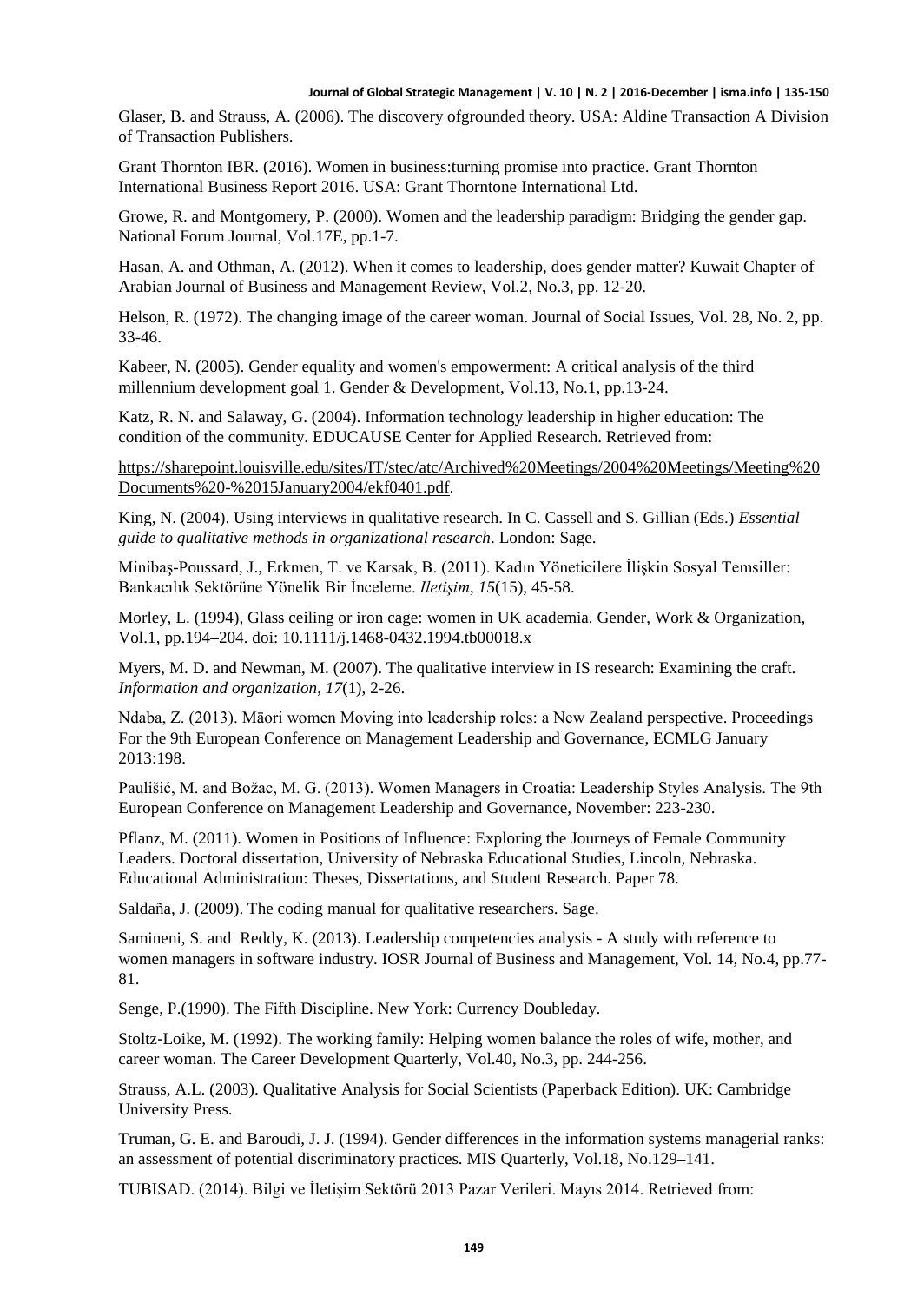Glaser, B. and Strauss, A. (2006). The discovery ofgrounded theory. USA: Aldine Transaction A Division of Transaction Publishers.

Grant Thornton IBR. (2016). Women in business:turning promise into practice. Grant Thornton International Business Report 2016. USA: Grant Thorntone International Ltd.

Growe, R. and Montgomery, P. (2000). Women and the leadership paradigm: Bridging the gender gap. National Forum Journal, Vol.17E, pp.1-7.

Hasan, A. and Othman, A. (2012). When it comes to leadership, does gender matter? Kuwait Chapter of Arabian Journal of Business and Management Review, Vol.2, No.3, pp. 12-20.

Helson, R. (1972). The changing image of the career woman. Journal of Social Issues, Vol. 28, No. 2, pp. 33-46.

Kabeer, N. (2005). Gender equality and women's empowerment: A critical analysis of the third millennium development goal 1. Gender & Development, Vol.13, No.1, pp.13-24.

Katz, R. N. and Salaway, G. (2004). Information technology leadership in higher education: The condition of the community. EDUCAUSE Center for Applied Research. Retrieved from:

[https://sharepoint.louisville.edu/sites/IT/stec/atc/Archived%20Meetings/2004%20Meetings/Meeting%20](https://sharepoint.louisville.edu/sites/IT/stec/atc/Archived%20Meetings/2004%20Meetings/Meeting%20Documents%20-%2015January2004/ekf0401.pdf) [Documents%20-%2015January2004/ekf0401.pdf.](https://sharepoint.louisville.edu/sites/IT/stec/atc/Archived%20Meetings/2004%20Meetings/Meeting%20Documents%20-%2015January2004/ekf0401.pdf)

King, N. (2004). Using interviews in qualitative research. In C. Cassell and S. Gillian (Eds.) *Essential guide to qualitative methods in organizational research*. London: Sage.

Minibaş-Poussard, J., Erkmen, T. ve Karsak, B. (2011). Kadın Yöneticilere İlişkin Sosyal Temsiller: Bankacılık Sektörüne Yönelik Bir İnceleme. *Iletişim*, *15*(15), 45-58.

Morley, L. (1994), Glass ceiling or iron cage: women in UK academia. Gender, Work & Organization, Vol.1, pp.194–204. doi: 10.1111/j.1468-0432.1994.tb00018.x

Myers, M. D. and Newman, M. (2007). The qualitative interview in IS research: Examining the craft. *Information and organization*, *17*(1), 2-26.

Ndaba, Z. (2013). Māori women Moving into leadership roles: a New Zealand perspective. Proceedings For the 9th European Conference on Management Leadership and Governance, ECMLG January 2013:198.

Paulišić, M. and Božac, M. G. (2013). Women Managers in Croatia: Leadership Styles Analysis. The 9th European Conference on Management Leadership and Governance, November: 223-230.

Pflanz, M. (2011). Women in Positions of Influence: Exploring the Journeys of Female Community Leaders. Doctoral dissertation, University of Nebraska Educational Studies, Lincoln, Nebraska. Educational Administration: Theses, Dissertations, and Student Research. Paper 78.

Saldaña, J. (2009). The coding manual for qualitative researchers. Sage.

Samineni, S. and Reddy, K. (2013). Leadership competencies analysis - A study with reference to women managers in software industry. IOSR Journal of Business and Management, Vol. 14, No.4, pp.77- 81.

Senge, P.(1990). The Fifth Discipline. New York: Currency Doubleday.

Stoltz‐Loike, M. (1992). The working family: Helping women balance the roles of wife, mother, and career woman. The Career Development Quarterly, Vol.40, No.3, pp. 244-256.

Strauss, A.L. (2003). Qualitative Analysis for Social Scientists (Paperback Edition). UK: Cambridge University Press.

Truman, G. E. and Baroudi, J. J. (1994). Gender differences in the information systems managerial ranks: an assessment of potential discriminatory practices. MIS Quarterly, Vol.18, No.129–141.

TUBISAD. (2014). Bilgi ve İletişim Sektörü 2013 Pazar Verileri. Mayıs 2014. Retrieved from: